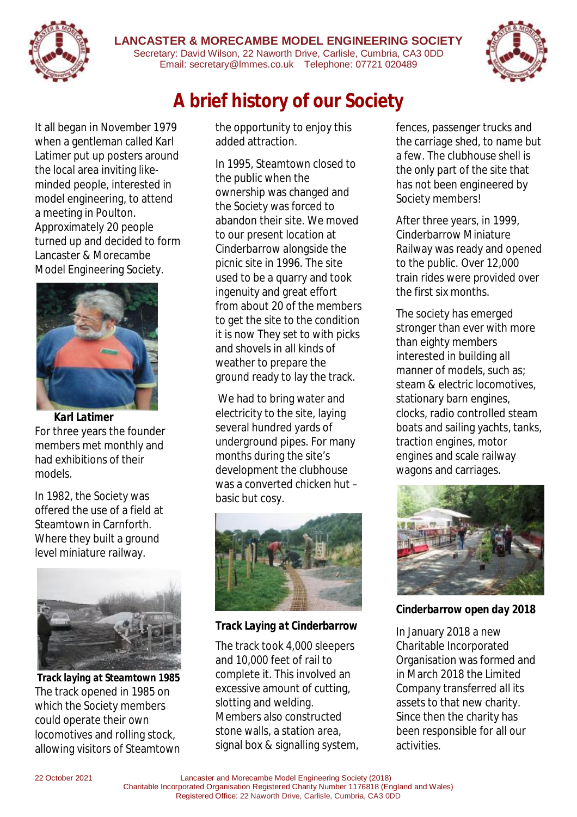

#### **LANCASTER & MORECAMBE MODEL ENGINEERING SOCIETY**  Secretary: David Wilson, 22 Naworth Drive, Carlisle, Cumbria, CA3 0DD Email: secretary@lmmes.co.uk Telephone: 07721 020489



It all began in November 1979 when a gentleman called Karl Latimer put up posters around the local area inviting likeminded people, interested in model engineering, to attend a meeting in Poulton. Approximately 20 people turned up and decided to form Lancaster & Morecambe Model Engineering Society.



*Karl Latimer* For three years the founder members met monthly and had exhibitions of their models.

In 1982, the Society was offered the use of a field at Steamtown in Carnforth. Where they built a ground level miniature railway.



*Track laying at Steamtown 1985* The track opened in 1985 on which the Society members could operate their own locomotives and rolling stock, allowing visitors of Steamtown

the opportunity to enjoy this added attraction.

**A brief history of our Society** 

In 1995, Steamtown closed to the public when the ownership was changed and the Society was forced to abandon their site. We moved to our present location at Cinderbarrow alongside the picnic site in 1996. The site used to be a quarry and took ingenuity and great effort from about 20 of the members to get the site to the condition it is now They set to with picks and shovels in all kinds of weather to prepare the ground ready to lay the track.

We had to bring water and electricity to the site, laying several hundred yards of underground pipes. For many months during the site's development the clubhouse was a converted chicken hut – basic but cosy.



*Track Laying at Cinderbarrow* 

The track took 4,000 sleepers and 10,000 feet of rail to complete it. This involved an excessive amount of cutting, slotting and welding. Members also constructed stone walls, a station area, signal box & signalling system, fences, passenger trucks and the carriage shed, to name but a few. The clubhouse shell is the only part of the site that has not been engineered by Society members!

After three years, in 1999, Cinderbarrow Miniature Railway was ready and opened to the public. Over 12,000 train rides were provided over the first six months.

The society has emerged stronger than ever with more than eighty members interested in building all manner of models, such as: steam & electric locomotives, stationary barn engines, clocks, radio controlled steam boats and sailing yachts, tanks, traction engines, motor engines and scale railway wagons and carriages.



*Cinderbarrow open day 2018* 

In January 2018 a new Charitable Incorporated Organisation was formed and in March 2018 the Limited Company transferred all its assets to that new charity. Since then the charity has been responsible for all our activities.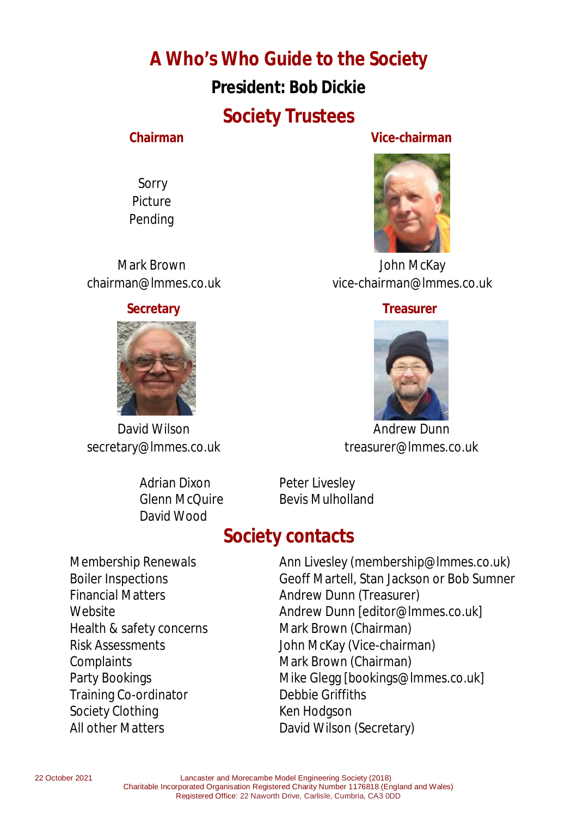**A Who's Who Guide to the Society President: Bob Dickie Society Trustees** 

 Sorry Picture Pending



**Chairman Vice-chairman** 



 Mark Brown John McKay chairman@lmmes.co.uk vice-chairman@lmmes.co.uk

#### **Secretary Construction Construction Construction Construction Construction Construction Construction Construction**



David Wilson **Andrew Dunn** secretary@lmmes.co.uk treasurer@lmmes.co.uk

Adrian Dixon Peter Livesley David Wood

Glenn McQuire Bevis Mulholland

## **Society contacts**

Health & safety concerns Mark Brown (Chairman) Complaints **Mark Brown (Chairman)** Training Co-ordinator **Debbie Griffiths** Society Clothing The Real Real Hodgson All other Matters **David Wilson (Secretary)** 

Membership Renewals Ann Livesley (membership@lmmes.co.uk) Boiler Inspections Geoff Martell, Stan Jackson or Bob Sumner Financial Matters **Andrew Dunn (Treasurer)** Website **Andrew Dunn Feditor@Immes.co.ukl** Risk Assessments John McKay (Vice-chairman) Party Bookings **Mike Glegg [bookings@lmmes.co.uk]**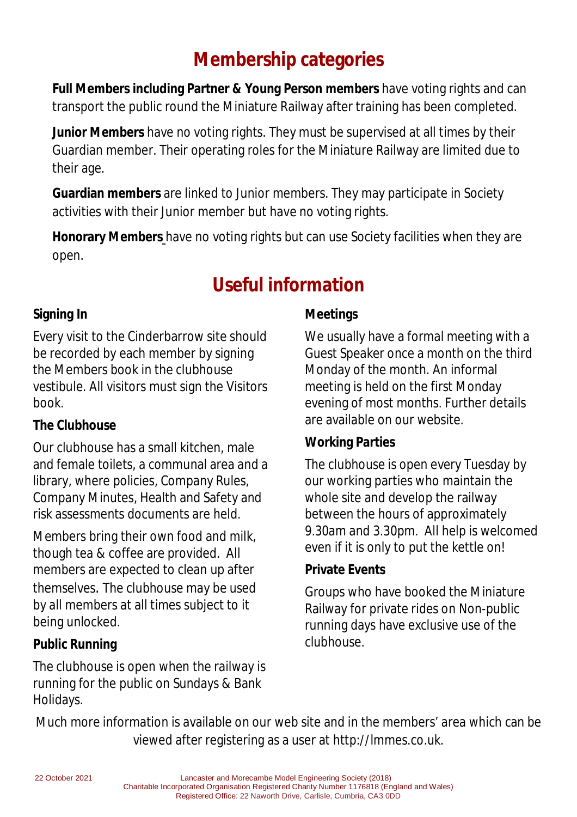## **Membership categories**

**Full Members including Partner & Young Person members** have voting rights and can transport the public round the Miniature Railway after training has been completed.

**Junior Members** have no voting rights. They must be supervised at all times by their Guardian member. Their operating roles for the Miniature Railway are limited due to their age.

**Guardian members** are linked to Junior members. They may participate in Society activities with their Junior member but have no voting rights.

**Honorary Members** have no voting rights but can use Society facilities when they are open.

# **Useful information**

#### **Signing In**

Every visit to the Cinderbarrow site should be recorded by each member by signing the Members book in the clubhouse vestibule. All visitors must sign the Visitors book.

#### **The Clubhouse**

Our clubhouse has a small kitchen, male and female toilets, a communal area and a library, where policies, Company Rules, Company Minutes, Health and Safety and risk assessments documents are held.

Members bring their own food and milk, though tea & coffee are provided. All members are expected to clean up after themselves. The clubhouse may be used by all members at all times subject to it being unlocked.

## **Public Running**

The clubhouse is open when the railway is running for the public on Sundays & Bank Holidays.

### **Meetings**

We usually have a formal meeting with a Guest Speaker once a month on the third Monday of the month. An informal meeting is held on the first Monday evening of most months. Further details are available on our website.

#### **Working Parties**

The clubhouse is open every Tuesday by our working parties who maintain the whole site and develop the railway between the hours of approximately 9.30am and 3.30pm. All help is welcomed even if it is only to put the kettle on!

#### **Private Events**

Groups who have booked the Miniature Railway for private rides on Non-public running days have exclusive use of the clubhouse.

Much more information is available on our web site and in the members' area which can be viewed after registering as a user at http://lmmes.co.uk.